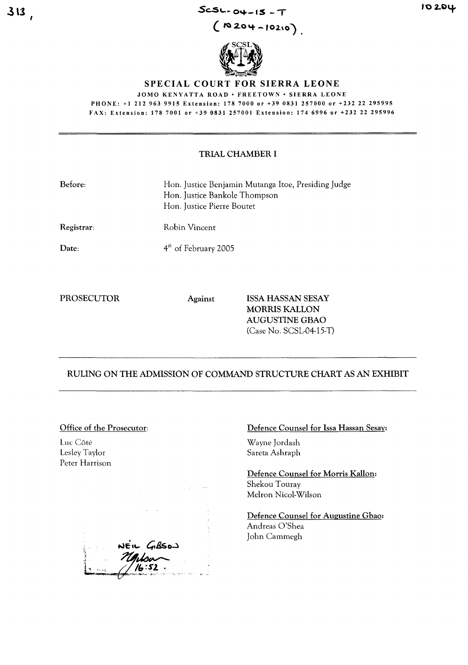Sc:.S~~ **<sup>0</sup> ....-1\$** - T

( **<sup>10</sup> 2.0'+ -'02.\0)**



## SPECIAL COURT FOR SIERRA LEONE

JOMO KENYATTA ROAD · FREETOWN · SIERRA LEONE PHONE: +1212963 9915 Extension: 178 7000 or +39 0831 257000 or +232 22 295995 FAX: Extension: 1787001 or +39 0831257001 Extension: 1746996 or +23222295996

## TRIAL CHAMBER I

| Before:    | Hon. Justice Benjamin Mutanga Itoe, Presiding Judge<br>Hon. Justice Bankole Thompson<br>Hon. Justice Pierre Boutet |
|------------|--------------------------------------------------------------------------------------------------------------------|
| Registrar: | Robin Vincent                                                                                                      |

Date:

4<sup>th</sup> of February 2005

PROSECUTOR Against ISSA HASSAN SESAY MORRIS KALLON AUGUSTINE GBAO (Case No. SCSL-04-15-T)

# RULING ON THE ADMISSION OF COMMAND STRUCTURE CHART AS AN EXHIBIT

#### Office of the Prosecutor:

Luc Côté Lesley Taylor Peter Harrison

تەك*ھى* 

# Defence Counsel for Issa Hassan Sesay:

Wayne Jordash Sareta Ashraph

Defence Counsel for Morris Kallon: Shekou Touray Mehon Nicol-Wilson

Defence Counsel for Augustine Gbao: Andreas O'Shea John Cammegh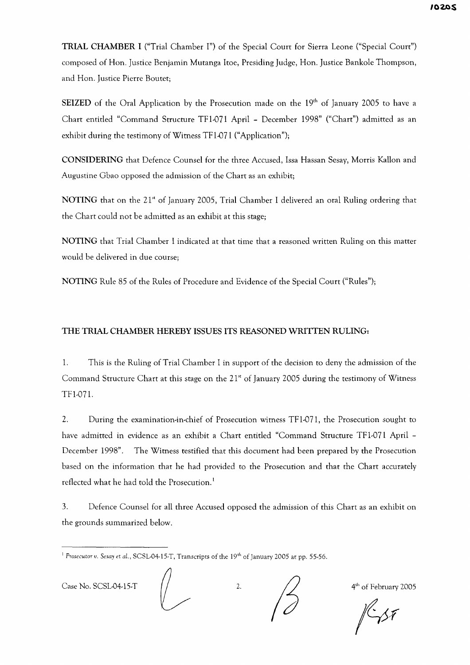TRIAL CHAMBER I ("Trial Chamber I") of the Special Court for Sierra Leone ("Special Court") composed of Hon. Justice Benjamin Mutanga !toe, Presiding Judge, Hon. Justice Bankole Thompson, and Hon. Justice Pierre Boutet;

SEIZED of the Oral Application by the Prosecution made on the  $19<sup>th</sup>$  of January 2005 to have a Chart entitled "Command Structure TFl-071 April - December 1998" ("Chart") admitted as an exhibit during the testimony of Witness TF1-071 ("Application");

CONSIDERING that Defence Counsel for the three Accused, lssa Hassan Sesay, Morris Kallon and Augustine Gbao opposed the admission of the Chart as an exhibit;

NOTING that on the 21<sup>st</sup> of January 2005, Trial Chamber I delivered an oral Ruling ordering that the Chart could not be admitted as an exhibit at this stage;

NOTING that Trial Chamber I indicated at that time that a reasoned written Ruling on this matter would be delivered in due course;

NOTING Rule 85 of the Rules of Procedure and Evidence of the Special Court ("Rules");

# THE TRIAL CHAMBER HEREBY ISSUES ITS REASONED WRITTEN RULING:

1. This is the Ruling of Trial Chamber I in support of the decision to deny the admission of the Command Structure Chart at this stage on the 21<sup>st</sup> of January 2005 during the testimony of Witness TFl-071.

2. During the examination-in-chief of Prosecution witness TFl-071, the Prosecution sought to have admitted in evidence as an exhibit a Chart entitled "Command Structure TFl-071 April - December 1998". The Witness testified that this document had been prepared by the Prosecution based on the information that he had provided to the Prosecution and that the Chart accurately reflected what he had told the Prosecution.<sup>1</sup>

3. Defence Counsel for all three Accused opposed the admission of this Chart as an exhibit on the grounds summarized below.

Case No. SCSL-04-15-T  $\left/ \right/$  2.  $\left/ \right/$  4<sup>th</sup> of February 2005

<sup>&</sup>lt;sup>1</sup> Prosecutor *v.* Sesay et al., SCSL-04-15-T, Transcripts of the 19<sup>th</sup> of January 2005 at pp. 55-56.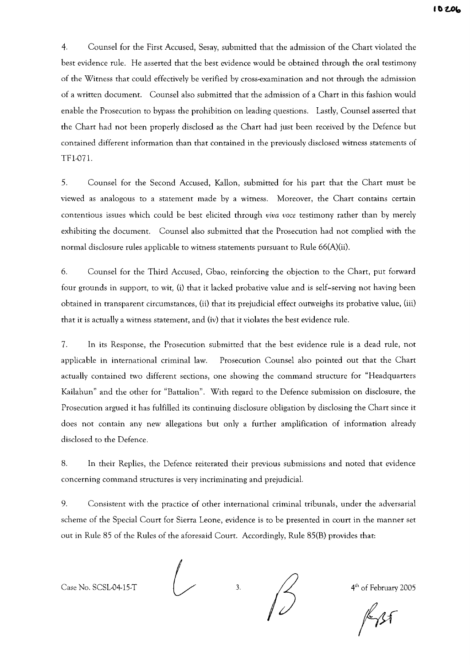4. Counsel for the First Accused, Sesay, submitted that the admission of the Chart violated the best evidence rule. He asserted that the best evidence would be obtained through the oral testimony of the Witness that could effectively be verified by cross-examination and not through the admission of a written document. Counsel also submitted that the admission of a Chart in this fashion would enable the Prosecution to bypass the prohibition on leading questions. Lastly, Counsel asserted that the Chart had not been properly disclosed as the Chart had just been received by the Defence but contained different information than that contained in the previously disclosed witness statements of TFI-071.

5. Counsel for the Second Accused, Kallon, submitted for his part that the Chart must be viewed as analogous to a statement made by a witness. Moreover, the Chart contains certain contentious issues which could be best elicited through *viva voce* testimony rather than by merely exhibiting the document. Counsel also submitted that the Prosecution had not complied with the normal disclosure rules applicable to witness statements pursuant to Rule 66(A)(ii).

6. Counsel for the Third Accused, Gbao, reinforcing the objection to the Chart, put forward four grounds in support, to wit, (i) that it lacked probative value and is self-serving not having been obtained in transparent circumstances, (ii) that its prejudicial effect outweighs its probative value, (iii) that it is actually a witness statement, and (iv) that it violates the best evidence rule.

7. In its Response, the Prosecution submitted that the best evidence rule is a dead rule, not applicable in international criminal law. Prosecution Counsel also pointed out that the Chart actually contained two different sections, one showing the command structure for "Headquarters Kailahun" and the other for "Battalion". With regard to the Defence submission on disclosure, the Prosecution argued it has fulfilled its continuing disclosure obligation by disclosing the Chart since it does not contain any new allegations but only a further amplification of information already disclosed to the Defence.

8. In their Replies, the Defence reiterated their previous submissions and noted that evidence concerning command structures is very incriminating and prejudicial.

9. Consistent with the practice of other international criminal tribunals, under the adversarial scheme of the Special Court for Sierra Leone, evidence is to be presented in court in the manner set out in Rule 85 of the Rules of the aforesaid Court. Accordingly, Rule 85(B) provides that:

Case No. SCSL-04-15-T  $\frac{1}{2}$  3.  $\frac{1}{4}$  4<sup>th</sup> of February 2005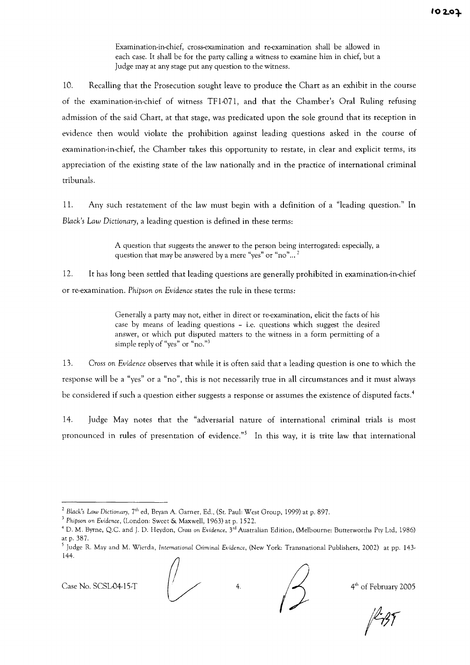Examination-in-chief, cross-examination and re-examination shall be allowed in each case. It shall be for the party calling a witness to examine him in chief, but a Judge may at any stage put any question to the witness.

10. Recalling that the Prosecution sought leave to produce the Chart as an exhibit in the course of the examination-in-chief of witness TFl-071 , and that the Chamber's Oral Ruling refusing admission of the said Chart, at that stage, was predicated upon the sole ground that its reception in evidence then would violate the prohibition against leading questions asked in the course of examination-in-chief, the Chamber takes this opportunity to restate, in clear and explicit terms, its appreciation of the existing state of the law nationally and in the practice of international criminal tribunals.

11. Any such restatement of the law must begin with a definition of a "leading question." In *Black's Law Dictionary,* a leading question is defined in these terms:

> A question that suggests the answer to the person being interrogated: especially, a question that may be answered by a mere "yes" or "no"...<sup>2</sup>

12. It has long been settled that leading questions are generally prohibited in examination-in-chief or re-examination. *Phipson* on *Evidence* states the rule in these terms:

> Generally a party may not, either in direct or re-examination, elicit the facts of his case by means of leading questions - i.e. questions which suggest the desired answer, or which put disputed matters to the witness in a form permitting of a simple reply of "yes" or "no.")

*13. Cross* on *Evidence* observes that while it is often said that a leading question is one to which the response will be a "yes" or a "no", this is not necessarily true in all circumstances and it must always be considered if such a question either suggests a response or assumes the existence of disputed facts.<sup>4</sup>

14. Judge May notes that the "adversarial nature of international criminal trials is most pronounced in rules of presentation of evidence."<sup>5</sup> In this way, it is trite law that international

Case No. SCSL-04-15-T  $\left( \frac{1}{2} \right)$  4.  $\left( \frac{1}{2} \right)$  4.  $\left( \frac{1}{2} \right)$  4.  $\left( \frac{1}{2} \right)$  4  $\left( \frac{1}{2} \right)$  6f February 2005

*<sup>2</sup> Black's Law Dictionary,* 7th ed, Bryan A. Garner, Ed., (St. Paul: West Group, 1999) at p. 897.

<sup>3</sup> *Phipson* on *Evidence,* (London: Sweet & Maxwell, 1963) at p. 1522.

<sup>4</sup> D. M. Byrne, Q.c. and J. D. Heydon, *Cross* on *Evidence,* 3'd Australian Edition, (Melbourne: Butrerworths Pry Ltd, 1986) atp.387.

<sup>5</sup> Judge R. May and M. Wierda, *International* Criminal *Evidence,* (New York: Transnational Publishers, 2002) at pp. 143- 144.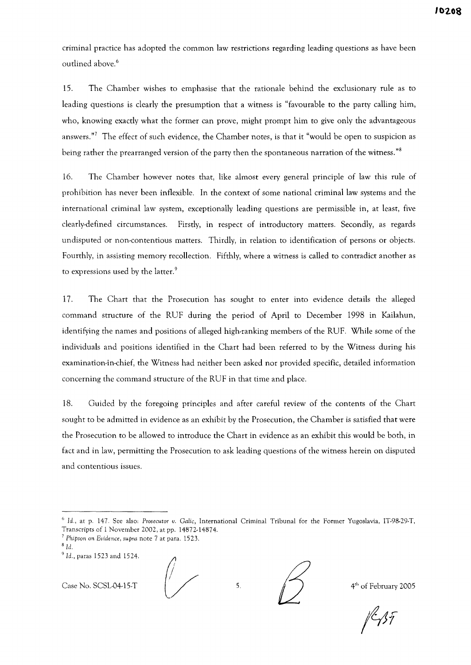criminal practice has adopted the common law restrictions regarding leading questions as have been outlined above.<sup>6</sup>

15. The Chamber wishes to emphasise that the rationale behind the exclusionary rule as to leading questions is clearly the presumption that a witness is "favourable to the party calling him, who, knowing exactly what the former can prove, might prompt him to give only the advantageous answers."7 The effect of such evidence, the Chamber notes, is that it "would be open to suspicion as being rather the prearranged version of the party then the spontaneous narration of the witness."8

16. The Chamber however notes that, like almost every general principle of law this rule of prohibition has never been inflexible. In the context of some national criminal law systems and the international criminal law system, exceptionally leading questions are permissible in, at least, five clearly-defined circumstances. Firstly, in respect of introductory matters. Secondly, as regards undisputed or non-contentious matters. Thirdly, in relation to identification of persons or objects. Fourthly, in assisting memory recollection. Fifthly, where a witness is called to contradict another as to expressions used by the latter.<sup>9</sup>

17. The Chart that the Prosecution has sought to enter into evidence details the alleged command structure of the RUF during the period of April to December 1998 in Kailahun, identifying the names and positions of alleged high-ranking members of the RUF. While some of the individuals and positions identified in the Chart had been referred to by the Witness during his examination-in-chief, the Witness had neither been asked nor provided specific, detailed information concerning the command structure of the RUF in that time and place.

18. Guided by the foregoing principles and after careful review of the contents of the Chart sought to be admitted in evidence as an exhibit by the Prosecution, the Chamber is satisfied that were the Prosecution to be allowed to introduce the Chart in evidence as an exhibit this would be both, in fact and in law, permitting the Prosecution to ask leading questions of the witness herein on disputed and contentious issues.

Case No. SCSL-04-15-T  $\sqrt{5}$  5.  $\sqrt{4^{th}}$  of February 2005



<sup>6</sup> *Id.,* at p. 147. See also: *Prosecutor v. Galic,* International Criminal Tribunal for the Former Yugoslavia, IT·98-29·T, Transcripts of 1 November 2002, at pp. 14872·14874.

*<sup>7</sup> Phipson* on *Evidence, supra* note 7 at para. 1523.

 $8$  Id.

<sup>9</sup> Id., paras 1523 and 1524.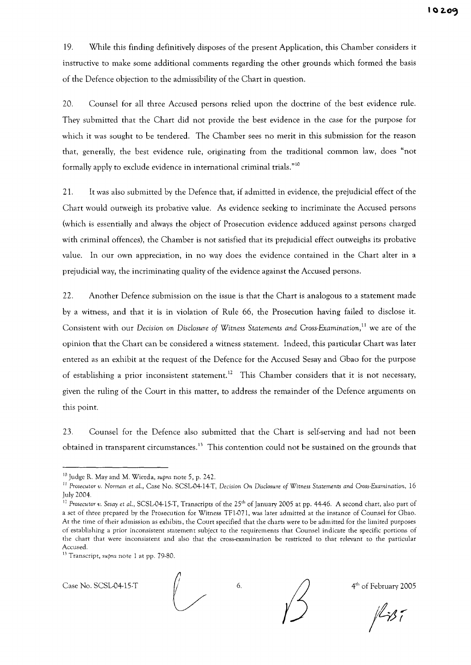19. While this finding definitively disposes of the present Application, this Chamber considers it instructive to make some additional comments regarding the other grounds which formed the basis of the Defence objection to the admissibility of the Chart in question.

20. Counsel for all three Accused persons relied upon the doctrine of the best evidence rule. They submitted that the Chart did not provide the best evidence in the case for the purpose for which it was sought to be tendered. The Chamber sees no merit in this submission for the reason that, generally, the best evidence rule, originating from the traditional common law, does "not formally apply to exclude evidence in international criminal trials."lo

21. It was also submitted by the Defence that, if admitted in evidence, the prejudicial effect of the Chart would outweigh its probative value. As evidence seeking to incriminate the Accused persons (which is essentially and always the object of Prosecution evidence adduced against persons charged with criminal offences), the Chamber is not satisfied that its prejudicial effect outweighs its probative value. In our own appreciation, in no way does the evidence contained in the Chart alter in a prejudicial way, the incriminating quality of the evidence against the Accused persons.

22. Another Defence submission on the issue is that the Chart is analogous to a statement made by a witness, and that it is in violation of Rule 66, the Prosecution having failed to disclose it. Consistent with our *Decision* on *Disclosure of Witness Statements and Cross-Examination,* II we are of the opinion that the Chart can be considered a witness statement. Indeed, this particular Chart was later entered as an exhibit at the request of the Defence for the Accused Sesay and Gbao for the purpose of establishing a prior inconsistent statement.<sup>12</sup> This Chamber considers that it is not necessary, given the ruling of the Court in this matter, to address the remainder of the Defence arguments on this point.

23. Counsel for the Defence also submitted that the Chart is self-serving and had not been obtained in transparent circumstances.<sup>13</sup> This contention could not be sustained on the grounds that

<sup>13</sup> Transcript, *supra* note 1 at pp. 79-80.



 $1137$ 

<sup>10</sup> Judge R. May and M. Wierda, *supra* note 5, p. 242.

<sup>I</sup> <sup>J</sup> *Prosecutor v. Norman* et *aL,* Case No. SCSL-04-14-T, *Decision* On *Disclosure of Witness Statements and Cross-Examination, 16* July 2004.

<sup>&</sup>lt;sup>12</sup> Prosecutor *v.* Sesay et al., SCSL-04-15-T, Transcripts of the 25<sup>th</sup> of January 2005 at pp. 44-46. A second chart, also part of a set of three prepared by the Prosecution for Witness TFl-071 , was later admitted at the instance of Counsel for Gbao. At the time of their admission as exhibits, the Court specified that the charts were to be admitted for the limited purposes of establishing a prior inconsistent statement subject to the requirements that Counsel indicate the specific portions of the chart that were inconsistent and also that the cross-examination be restricted to that relevant to the particular Accused.